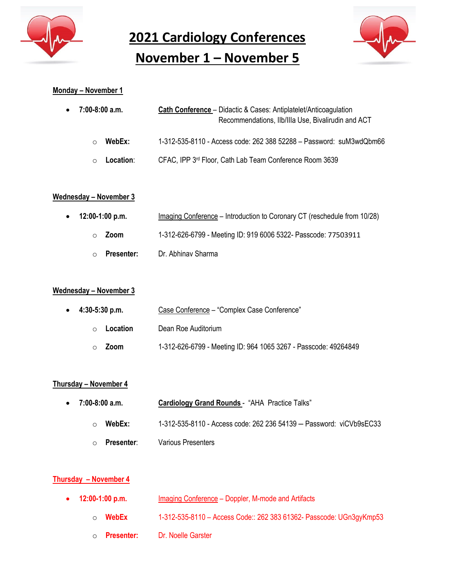

**2021 Cardiology Conferences**

**November 1 – November 5**



# **Monday – November 1**

| $\bullet$ 7:00-8:00 a.m. | <b>Cath Conference</b> – Didactic & Cases: Antiplatelet/Anticoagulation<br>Recommendations, IIb/IIIa Use, Bivalirudin and ACT |
|--------------------------|-------------------------------------------------------------------------------------------------------------------------------|
| WebEx:<br>◯              | 1-312-535-8110 - Access code: 262 388 52288 - Password: suM3wdQbm66                                                           |
| Location:<br>$\cap$      | CFAC, IPP 3rd Floor, Cath Lab Team Conference Room 3639                                                                       |

## **Wednesday – November 3**

| $\bullet$ 12:00-1:00 p.m. | Imaging Conference – Introduction to Coronary CT (reschedule from 10/28) |
|---------------------------|--------------------------------------------------------------------------|
| Zoom<br>$\cap$            | 1-312-626-6799 - Meeting ID: 919 6006 5322- Passcode: 77503911           |
| Presenter:<br>$\circ$     | Dr. Abhinav Sharma                                                       |

#### **Wednesday – November 3**

| $\bullet$ 4:30-5:30 p.m. | Case Conference - "Complex Case Conference"                     |
|--------------------------|-----------------------------------------------------------------|
| Location<br>$\bigcap$    | Dean Roe Auditorium                                             |
| Zoom                     | 1-312-626-6799 - Meeting ID: 964 1065 3267 - Passcode: 49264849 |

# **Thursday – November 4**

| $\bullet$ 7:00-8:00 a.m. |            | Cardiology Grand Rounds - "AHA Practice Talks"                      |
|--------------------------|------------|---------------------------------------------------------------------|
| $\circ$                  | WebEx:     | 1-312-535-8110 - Access code: 262 236 54139 - Password: viCVb9sEC33 |
| $\circ$                  | Presenter: | Various Presenters                                                  |

# **Thursday – November 4**

| $\bullet$ 12:00-1:00 p.m. | Imaging Conference – Doppler, M-mode and Artifacts                  |
|---------------------------|---------------------------------------------------------------------|
| <b>റ WebEx</b>            | 1-312-535-8110 - Access Code:: 262 383 61362- Passcode: UGn3gyKmp53 |
| Presenter:<br>$\circ$     | Dr. Noelle Garster                                                  |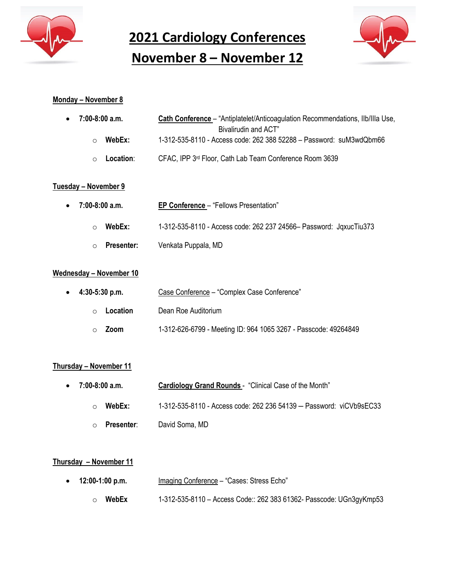

**2021 Cardiology Conferences**

# **November 8 – November 12**



# **Monday – November 8**

| ● 7:00-8:00 a.m.    | Cath Conference – "Antiplatelet/Anticoagulation Recommendations, Ilb/Illa Use, |
|---------------------|--------------------------------------------------------------------------------|
|                     | Bivalirudin and ACT"                                                           |
| WebEx:<br>∩         | 1-312-535-8110 - Access code: 262 388 52288 - Password: suM3wdQbm66            |
| Location:<br>$\cap$ | CFAC, IPP 3rd Floor, Cath Lab Team Conference Room 3639                        |
|                     |                                                                                |

# **Tuesday – November 9**

| $\bullet$ 7:00-8:00 a.m. | <b>EP Conference</b> – "Fellows Presentation"                       |
|--------------------------|---------------------------------------------------------------------|
| WebEx:                   | 1-312-535-8110 - Access code: 262 237 24566 - Password: JqxucTiu373 |
| <b>Presenter:</b>        | Venkata Puppala, MD                                                 |

# **Wednesday – November 10**

| $\bullet$ 4:30-5:30 p.m. | Case Conference - "Complex Case Conference"                     |
|--------------------------|-----------------------------------------------------------------|
| Location<br>$\bigcap$    | Dean Roe Auditorium                                             |
| Zoom<br>$\cap$           | 1-312-626-6799 - Meeting ID: 964 1065 3267 - Passcode: 49264849 |

# **Thursday – November 11**

• **7:00-8:00 a.m. Cardiology Grand Rounds** - "Clinical Case of the Month" o **WebEx:** 1-312-535-8110 - Access code: 262 236 54139 – Password: viCVb9sEC33 o **Presenter**: David Soma, MD

# **Thursday – November 11**

- **12:00-1:00 p.m.** Imaging Conference "Cases: Stress Echo"
	- o **WebEx** 1-312-535-8110 Access Code:: 262 383 61362- Passcode: UGn3gyKmp53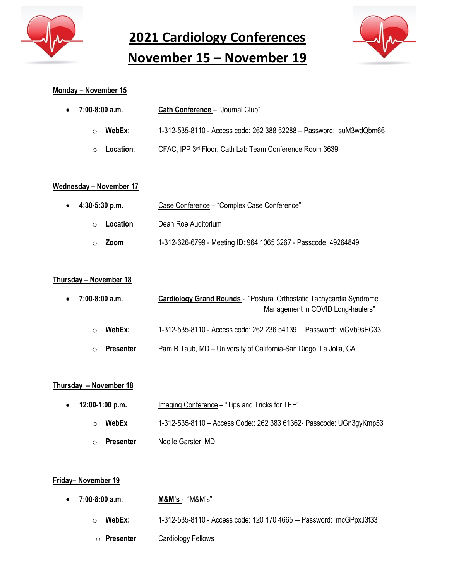

**2021 Cardiology Conferences November 15 – November 19**



## **Monday – November 15**

| $\bullet$ 7:00-8:00 a.m. | <b>Cath Conference</b> – "Journal Club"                             |
|--------------------------|---------------------------------------------------------------------|
| WebEx:<br>$\cap$         | 1-312-535-8110 - Access code: 262 388 52288 - Password: suM3wdQbm66 |
| Location:<br>$\circ$     | CFAC, IPP 3rd Floor, Cath Lab Team Conference Room 3639             |

#### **Wednesday – November 17**

| $\bullet$ 4:30-5:30 p.m. | Case Conference - "Complex Case Conference"                     |
|--------------------------|-----------------------------------------------------------------|
| Location<br>$\bigcap$    | Dean Roe Auditorium                                             |
| Zoom                     | 1-312-626-6799 - Meeting ID: 964 1065 3267 - Passcode: 49264849 |

#### **Thursday – November 18**

| $\bullet$ 7:00-8:00 a.m.        | <b>Cardiology Grand Rounds</b> - "Postural Orthostatic Tachycardia Syndrome |
|---------------------------------|-----------------------------------------------------------------------------|
|                                 | Management in COVID Long-haulers"                                           |
| WebEx:<br>◯                     | 1-312-535-8110 - Access code: 262 236 54139 - Password: viCVb9sEC33         |
| <b>Presenter:</b><br>$\bigcirc$ | Pam R Taub, MD – University of California-San Diego, La Jolla, CA           |

## **Thursday – November 18**

| $\bullet$ 12:00-1:00 p.m.    | Imaging Conference – "Tips and Tricks for TEE"                      |
|------------------------------|---------------------------------------------------------------------|
| WebEx<br>∩                   | 1-312-535-8110 - Access Code:: 262 383 61362- Passcode: UGn3gyKmp53 |
| <b>Presenter:</b><br>$\circ$ | Noelle Garster, MD                                                  |

#### **Friday– November 19**

- **7:00-8:00 a.m. M&M's**  "M&M's"
	- o **WebEx:** 1-312-535-8110 Access code: 120 170 4665 Password: mcGPpxJ3f33
	- o **Presenter**: Cardiology Fellows